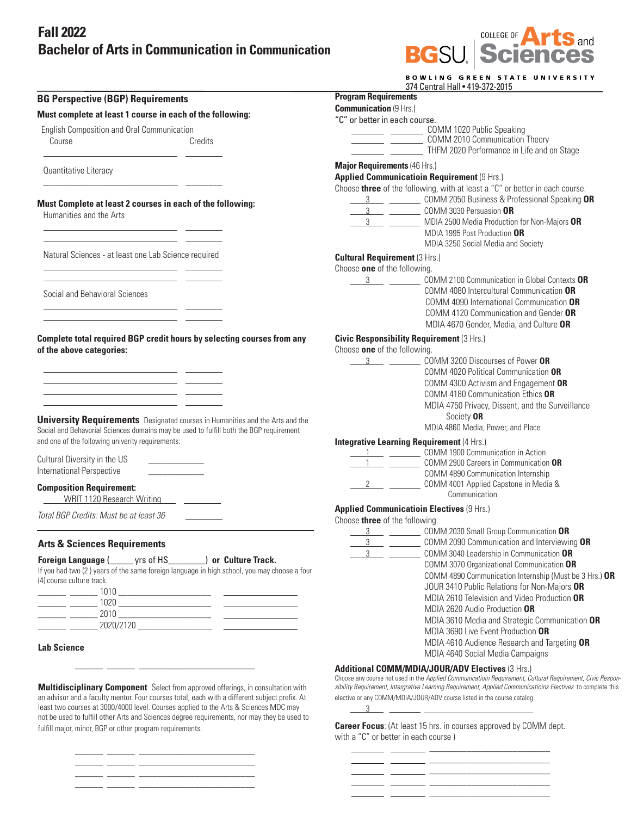## **Fall 2022 Bachelor of Arts in Communication in Communication**



| 374 Central Hall . 419-372-2015<br><b>Program Requirements</b><br><b>Communication (9 Hrs.)</b><br>"C" or better in each course.<br>COMM 1020 Public Speaking<br>COMM 2010 Communication Theory<br>THFM 2020 Performance in Life and on Stage<br><b>Major Requirements (46 Hrs.)</b><br>Applied Communicatioin Requirement (9 Hrs.)<br>Choose three of the following, with at least a "C" or better in each course.<br>3 COMM 2050 Business & Professional Speaking OR<br>3 COMM 3030 Persuasion OR |
|-----------------------------------------------------------------------------------------------------------------------------------------------------------------------------------------------------------------------------------------------------------------------------------------------------------------------------------------------------------------------------------------------------------------------------------------------------------------------------------------------------|
|                                                                                                                                                                                                                                                                                                                                                                                                                                                                                                     |
|                                                                                                                                                                                                                                                                                                                                                                                                                                                                                                     |
|                                                                                                                                                                                                                                                                                                                                                                                                                                                                                                     |
|                                                                                                                                                                                                                                                                                                                                                                                                                                                                                                     |
|                                                                                                                                                                                                                                                                                                                                                                                                                                                                                                     |
|                                                                                                                                                                                                                                                                                                                                                                                                                                                                                                     |
|                                                                                                                                                                                                                                                                                                                                                                                                                                                                                                     |
|                                                                                                                                                                                                                                                                                                                                                                                                                                                                                                     |
|                                                                                                                                                                                                                                                                                                                                                                                                                                                                                                     |
|                                                                                                                                                                                                                                                                                                                                                                                                                                                                                                     |
| MDIA 2500 Media Production for Non-Majors OR                                                                                                                                                                                                                                                                                                                                                                                                                                                        |
| MDIA 1995 Post Production OR                                                                                                                                                                                                                                                                                                                                                                                                                                                                        |
| MDIA 3250 Social Media and Society                                                                                                                                                                                                                                                                                                                                                                                                                                                                  |
| <b>Cultural Requirement (3 Hrs.)</b>                                                                                                                                                                                                                                                                                                                                                                                                                                                                |
| Choose one of the following.                                                                                                                                                                                                                                                                                                                                                                                                                                                                        |
| $\frac{3}{2}$<br>COMM 2100 Communication in Global Contexts OR                                                                                                                                                                                                                                                                                                                                                                                                                                      |
| COMM 4080 Intercultural Communication OR                                                                                                                                                                                                                                                                                                                                                                                                                                                            |
| COMM 4090 International Communication OR                                                                                                                                                                                                                                                                                                                                                                                                                                                            |
| COMM 4120 Communication and Gender OR                                                                                                                                                                                                                                                                                                                                                                                                                                                               |
| MDIA 4670 Gender, Media, and Culture OR                                                                                                                                                                                                                                                                                                                                                                                                                                                             |
| <b>Civic Responsibility Requirement (3 Hrs.)</b>                                                                                                                                                                                                                                                                                                                                                                                                                                                    |
| Choose one of the following.                                                                                                                                                                                                                                                                                                                                                                                                                                                                        |
| COMM 3200 Discourses of Power OR<br>$\frac{3}{\sqrt{3}}$                                                                                                                                                                                                                                                                                                                                                                                                                                            |
| COMM 4020 Political Communication OR                                                                                                                                                                                                                                                                                                                                                                                                                                                                |
| COMM 4300 Activism and Engagement OR                                                                                                                                                                                                                                                                                                                                                                                                                                                                |
| COMM 4180 Communication Ethics OR                                                                                                                                                                                                                                                                                                                                                                                                                                                                   |
| MDIA 4750 Privacy, Dissent, and the Surveillance                                                                                                                                                                                                                                                                                                                                                                                                                                                    |
| Society OR                                                                                                                                                                                                                                                                                                                                                                                                                                                                                          |
| MDIA 4860 Media, Power, and Place                                                                                                                                                                                                                                                                                                                                                                                                                                                                   |
| <b>Integrative Learning Requirement (4 Hrs.)</b>                                                                                                                                                                                                                                                                                                                                                                                                                                                    |
| 1 COMM 1900 Communication in Action                                                                                                                                                                                                                                                                                                                                                                                                                                                                 |
| COMM 2900 Careers in Communication OR                                                                                                                                                                                                                                                                                                                                                                                                                                                               |
| COMM 4890 Communication Internship                                                                                                                                                                                                                                                                                                                                                                                                                                                                  |
| COMM 4001 Applied Capstone in Media &<br>Communication                                                                                                                                                                                                                                                                                                                                                                                                                                              |
|                                                                                                                                                                                                                                                                                                                                                                                                                                                                                                     |
| <b>Applied Communicatioin Electives (9 Hrs.)</b><br>Choose three of the following.                                                                                                                                                                                                                                                                                                                                                                                                                  |
| COMM 2030 Small Group Communication OR<br>3                                                                                                                                                                                                                                                                                                                                                                                                                                                         |
| COMM 2090 Communication and Interviewing OR<br>3                                                                                                                                                                                                                                                                                                                                                                                                                                                    |
| COMM 3040 Leadership in Communication OR                                                                                                                                                                                                                                                                                                                                                                                                                                                            |
| COMM 3070 Organizational Communication OR                                                                                                                                                                                                                                                                                                                                                                                                                                                           |
| COMM 4890 Communication Internship (Must be 3 Hrs.) OR                                                                                                                                                                                                                                                                                                                                                                                                                                              |
| JOUR 3410 Public Relations for Non-Majors OR                                                                                                                                                                                                                                                                                                                                                                                                                                                        |
| MDIA 2610 Television and Video Production OR                                                                                                                                                                                                                                                                                                                                                                                                                                                        |
| MDIA 2620 Audio Production OR                                                                                                                                                                                                                                                                                                                                                                                                                                                                       |
| MDIA 3610 Media and Strategic Communication OR                                                                                                                                                                                                                                                                                                                                                                                                                                                      |
| MDIA 3690 Live Event Production OR                                                                                                                                                                                                                                                                                                                                                                                                                                                                  |
| MDIA 4610 Audience Research and Targeting OR                                                                                                                                                                                                                                                                                                                                                                                                                                                        |
|                                                                                                                                                                                                                                                                                                                                                                                                                                                                                                     |
| MDIA 4640 Social Media Campaigns                                                                                                                                                                                                                                                                                                                                                                                                                                                                    |
| Additional COMM/MDIA/JOUR/ADV Electives (3 Hrs.)                                                                                                                                                                                                                                                                                                                                                                                                                                                    |
|                                                                                                                                                                                                                                                                                                                                                                                                                                                                                                     |

an advisor and a faculty mentor. Four courses total, each with a different subject prefix. At least two courses at 3000/4000 level. Courses applied to the Arts & Sciences MDC may not be used to fulfill other Arts and Sciences degree requirements, nor may they be used to fulfill major, minor, BGP or other program requirements.

\_\_\_\_\_\_ \_\_\_\_\_\_ \_\_\_\_\_\_\_\_\_\_\_\_\_\_\_\_\_\_\_\_\_\_\_\_\_

\_\_\_\_\_\_ \_\_\_\_\_\_ \_\_\_\_\_\_\_\_\_\_\_\_\_\_\_\_\_\_\_\_\_\_\_\_\_

 $\frac{1}{2}$  ,  $\frac{1}{2}$  ,  $\frac{1}{2}$  ,  $\frac{1}{2}$  ,  $\frac{1}{2}$  ,  $\frac{1}{2}$  ,  $\frac{1}{2}$  ,  $\frac{1}{2}$  ,  $\frac{1}{2}$  ,  $\frac{1}{2}$  ,  $\frac{1}{2}$  ,  $\frac{1}{2}$  ,  $\frac{1}{2}$  ,  $\frac{1}{2}$  ,  $\frac{1}{2}$  ,  $\frac{1}{2}$  ,  $\frac{1}{2}$  ,  $\frac{1}{2}$  ,  $\frac{1$  $\overline{\phantom{a}}$  , and the set of the set of the set of the set of the set of the set of the set of the set of the set of the set of the set of the set of the set of the set of the set of the set of the set of the set of the s

**Career Focus**: (At least 15 hrs. in courses approved by COMM dept. with a "C" or better in each course )

 $\frac{1}{\sqrt{2}}$  ,  $\frac{1}{\sqrt{2}}$  ,  $\frac{1}{\sqrt{2}}$  ,  $\frac{1}{\sqrt{2}}$  ,  $\frac{1}{\sqrt{2}}$  ,  $\frac{1}{\sqrt{2}}$  ,  $\frac{1}{\sqrt{2}}$  ,  $\frac{1}{\sqrt{2}}$  ,  $\frac{1}{\sqrt{2}}$  ,  $\frac{1}{\sqrt{2}}$  ,  $\frac{1}{\sqrt{2}}$  ,  $\frac{1}{\sqrt{2}}$  ,  $\frac{1}{\sqrt{2}}$  ,  $\frac{1}{\sqrt{2}}$  ,  $\frac{1}{\sqrt{2}}$  \_\_\_\_\_\_\_\_\_\_\_\_\_\_\_\_\_\_\_\_\_\_\_\_\_\_ \_\_\_\_\_\_\_\_\_\_\_\_\_\_\_\_\_\_\_\_\_\_\_\_\_\_ \_\_\_\_\_\_\_\_\_\_\_\_\_\_\_\_\_\_\_\_\_\_\_\_\_\_

 $\overline{\phantom{a}}$  , and the set of  $\overline{\phantom{a}}$ 

elective or any COMM/MDIA/JOUR/ADV course listed in the course catalog.  $\frac{3}{2}$   $\frac{3}{2}$   $\frac{3}{2}$   $\frac{3}{2}$   $\frac{3}{2}$   $\frac{3}{2}$   $\frac{3}{2}$   $\frac{3}{2}$   $\frac{3}{2}$   $\frac{3}{2}$   $\frac{3}{2}$   $\frac{3}{2}$   $\frac{3}{2}$   $\frac{3}{2}$   $\frac{3}{2}$   $\frac{3}{2}$   $\frac{3}{2}$   $\frac{3}{2}$   $\frac{3}{2}$   $\frac{3}{2}$   $\frac{3}{2}$   $\frac{3}{2}$